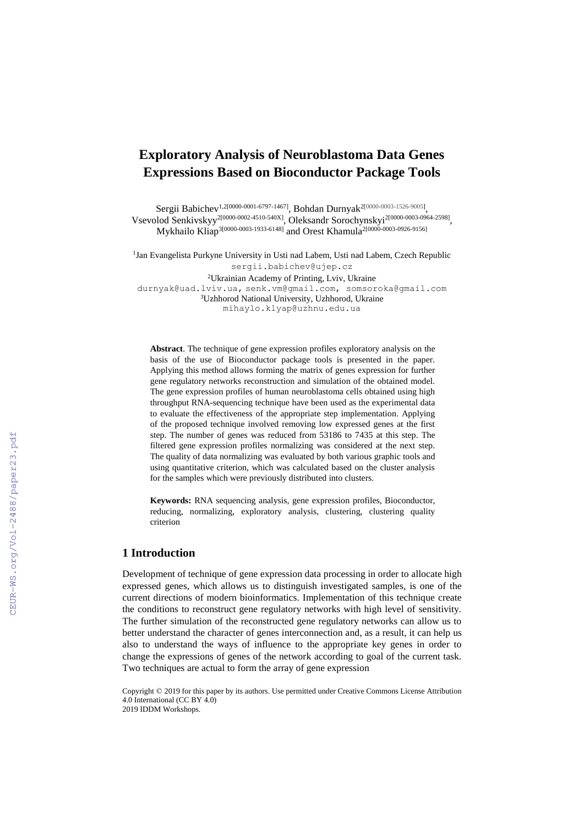# **Exploratory Analysis of Neuroblastoma Data Genes Expressions Based on Bioconductor Package Tools**

Sergii Babichev<sup>1,2[0000-0001-6797-1467]</sup>, Bohdan Durnyak<sup>2[0000-0003-1526-9005]</sup>, Vsevolod Senkivskyy<sup>2[0000-0002-4510-540X]</sup>, Oleksandr Sorochynskyi<sup>2[0000-0003-0964-2598]</sup>, Mykhailo Kliap<sup>3[0000-0003-1933-6148]</sup> and Orest Khamula<sup>2[0000-0003-0926-9156]</sup>

<sup>1</sup>Jan Evangelista Purkyne University in Usti nad Labem, Usti nad Labem, Czech Republic sergii.babichev@ujep.cz

<sup>2</sup>Ukrainian Academy of Printing, Lviv, Ukraine [durnyak@uad.lviv.ua,](mailto:durnyak@uad.lviv.ua) [senk.vm@gmail.com,](mailto:senk.vm@gmail.com) [somsoroka@gmail.com](mailto:somsoroka@gmail.com) <sup>3</sup>Uzhhorod National University, Uzhhorod, Ukraine [mihaylo.klyap@uzhnu.edu.ua](mailto:mihaylo.klyap@uzhnu.edu.ua)

**Abstract**. The technique of gene expression profiles exploratory analysis on the basis of the use of Bioconductor package tools is presented in the paper. Applying this method allows forming the matrix of genes expression for further gene regulatory networks reconstruction and simulation of the obtained model. The gene expression profiles of human neuroblastoma cells obtained using high throughput RNA-sequencing technique have been used as the experimental data to evaluate the effectiveness of the appropriate step implementation. Applying of the proposed technique involved removing low expressed genes at the first step. The number of genes was reduced from 53186 to 7435 at this step. The filtered gene expression profiles normalizing was considered at the next step. The quality of data normalizing was evaluated by both various graphic tools and using quantitative criterion, which was calculated based on the cluster analysis for the samples which were previously distributed into clusters.

**Keywords:** RNA sequencing analysis, gene expression profiles, Bioconductor, reducing, normalizing, exploratory analysis, clustering, clustering quality criterion

# **1 Introduction**

Development of technique of gene expression data processing in order to allocate high expressed genes, which allows us to distinguish investigated samples, is one of the current directions of modern bioinformatics. Implementation of this technique create the conditions to reconstruct gene regulatory networks with high level of sensitivity. The further simulation of the reconstructed gene regulatory networks can allow us to better understand the character of genes interconnection and, as a result, it can help us also to understand the ways of influence to the appropriate key genes in order to change the expressions of genes of the network according to goal of the current task. Two techniques are actual to form the array of gene expression

Copyright © 2019 for this paper by its authors. Use permitted under Creative Commons License Attribution 4.0 International (CC BY 4.0)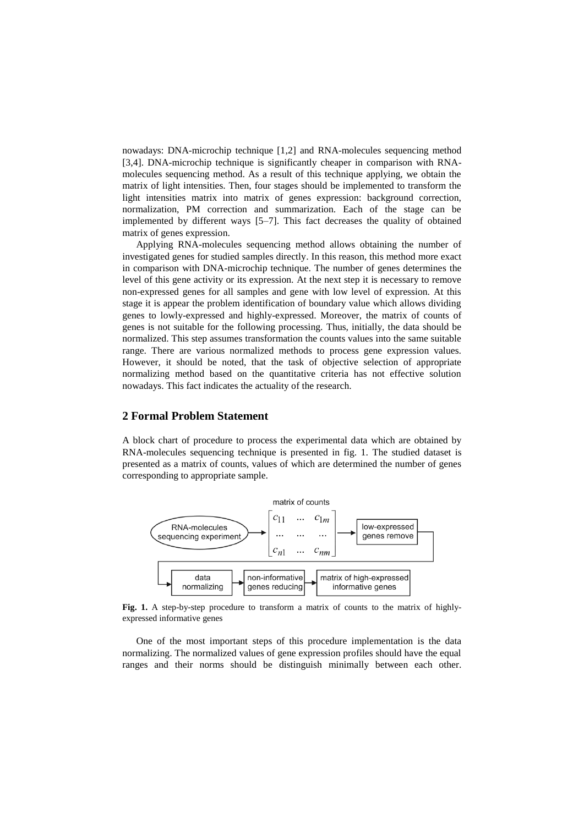nowadays: DNA-microchip technique [1,2] and RNA-molecules sequencing method [3,4]. DNA-microchip technique is significantly cheaper in comparison with RNAmolecules sequencing method. As a result of this technique applying, we obtain the matrix of light intensities. Then, four stages should be implemented to transform the light intensities matrix into matrix of genes expression: background correction, normalization, PM correction and summarization. Each of the stage can be implemented by different ways [5–7]. This fact decreases the quality of obtained matrix of genes expression.

Applying RNA-molecules sequencing method allows obtaining the number of investigated genes for studied samples directly. In this reason, this method more exact in comparison with DNA-microchip technique. The number of genes determines the level of this gene activity or its expression. At the next step it is necessary to remove non-expressed genes for all samples and gene with low level of expression. At this stage it is appear the problem identification of boundary value which allows dividing genes to lowly-expressed and highly-expressed. Moreover, the matrix of counts of genes is not suitable for the following processing. Thus, initially, the data should be normalized. This step assumes transformation the counts values into the same suitable range. There are various normalized methods to process gene expression values. However, it should be noted, that the task of objective selection of appropriate normalizing method based on the quantitative criteria has not effective solution nowadays. This fact indicates the actuality of the research.

# **2 Formal Problem Statement**

A block chart of procedure to process the experimental data which are obtained by RNA-molecules sequencing technique is presented in fig. 1. The studied dataset is presented as a matrix of counts, values of which are determined the number of genes corresponding to appropriate sample.



**Fig. 1.** A step-by-step procedure to transform a matrix of counts to the matrix of highlyexpressed informative genes

One of the most important steps of this procedure implementation is the data normalizing. The normalized values of gene expression profiles should have the equal ranges and their norms should be distinguish minimally between each other.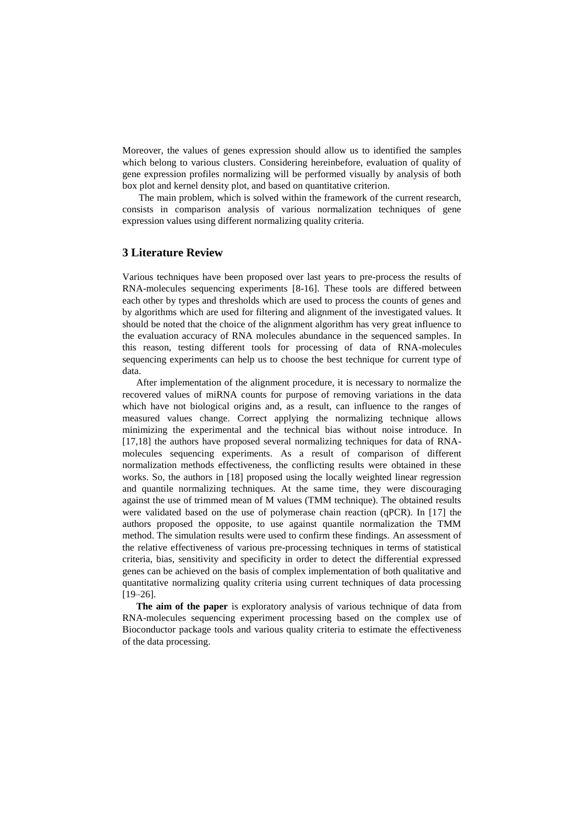Moreover, the values of genes expression should allow us to identified the samples which belong to various clusters. Considering hereinbefore, evaluation of quality of gene expression profiles normalizing will be performed visually by analysis of both box plot and kernel density plot, and based on quantitative criterion.

The main problem, which is solved within the framework of the current research, consists in comparison analysis of various normalization techniques of gene expression values using different normalizing quality criteria.

## **3 Literature Review**

Various techniques have been proposed over last years to pre-process the results of RNA-molecules sequencing experiments [8-16]. These tools are differed between each other by types and thresholds which are used to process the counts of genes and by algorithms which are used for filtering and alignment of the investigated values. It should be noted that the choice of the alignment algorithm has very great influence to the evaluation accuracy of RNA molecules abundance in the sequenced samples. In this reason, testing different tools for processing of data of RNA-molecules sequencing experiments can help us to choose the best technique for current type of data.

After implementation of the alignment procedure, it is necessary to normalize the recovered values of miRNA counts for purpose of removing variations in the data which have not biological origins and, as a result, can influence to the ranges of measured values change. Correct applying the normalizing technique allows minimizing the experimental and the technical bias without noise introduce. In [17,18] the authors have proposed several normalizing techniques for data of RNAmolecules sequencing experiments. As a result of comparison of different normalization methods effectiveness, the conflicting results were obtained in these works. So, the authors in [18] proposed using the locally weighted linear regression and quantile normalizing techniques. At the same time, they were discouraging against the use of trimmed mean of M values (TMM technique). The obtained results were validated based on the use of polymerase chain reaction (qPCR). In [17] the authors proposed the opposite, to use against quantile normalization the TMM method. The simulation results were used to confirm these findings. An assessment of the relative effectiveness of various pre-processing techniques in terms of statistical criteria, bias, sensitivity and specificity in order to detect the differential expressed genes can be achieved on the basis of complex implementation of both qualitative and quantitative normalizing quality criteria using current techniques of data processing  $[19-26]$ .

**The aim of the paper** is exploratory analysis of various technique of data from RNA-molecules sequencing experiment processing based on the complex use of Bioconductor package tools and various quality criteria to estimate the effectiveness of the data processing.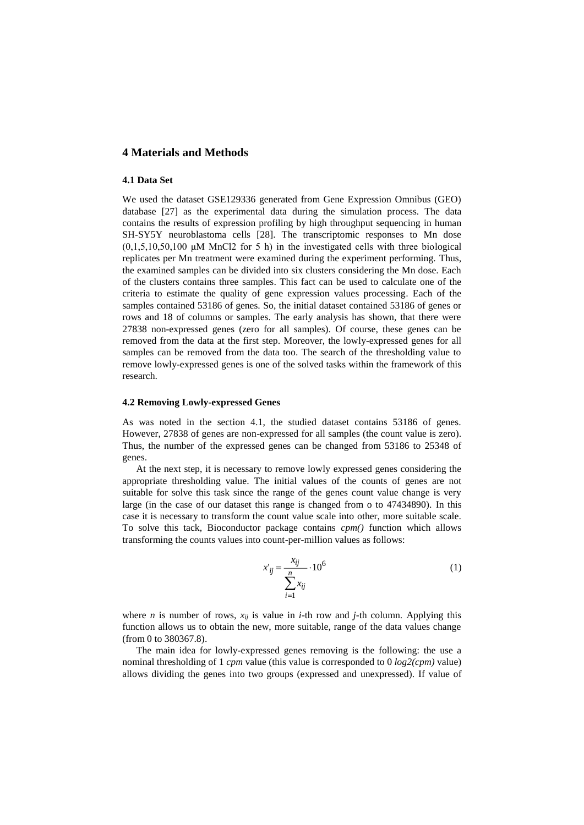### **4 Materials and Methods**

#### **4.1 Data Set**

We used the dataset GSE129336 generated from Gene Expression Omnibus (GEO) database [27] as the experimental data during the simulation process. The data contains the results of expression profiling by high throughput sequencing in human SH-SY5Y neuroblastoma cells [28]. The transcriptomic responses to Mn dose  $(0,1,5,10,50,100 \mu M \text{ MnCl2}$  for 5 h) in the investigated cells with three biological replicates per Mn treatment were examined during the experiment performing. Thus, the examined samples can be divided into six clusters considering the Mn dose. Each of the clusters contains three samples. This fact can be used to calculate one of the criteria to estimate the quality of gene expression values processing. Each of the samples contained 53186 of genes. So, the initial dataset contained 53186 of genes or rows and 18 of columns or samples. The early analysis has shown, that there were 27838 non-expressed genes (zero for all samples). Of course, these genes can be removed from the data at the first step. Moreover, the lowly-expressed genes for all samples can be removed from the data too. The search of the thresholding value to remove lowly-expressed genes is one of the solved tasks within the framework of this research.

#### **4.2 Removing Lowly-expressed Genes**

As was noted in the section 4.1, the studied dataset contains 53186 of genes. However, 27838 of genes are non-expressed for all samples (the count value is zero). Thus, the number of the expressed genes can be changed from 53186 to 25348 of genes.

At the next step, it is necessary to remove lowly expressed genes considering the appropriate thresholding value. The initial values of the counts of genes are not suitable for solve this task since the range of the genes count value change is very large (in the case of our dataset this range is changed from o to 47434890). In this case it is necessary to transform the count value scale into other, more suitable scale. To solve this tack, Bioconductor package contains *cpm()* function which allows transforming the counts values into count-per-million values as follows:

$$
x'_{ij} = \frac{x_{ij}}{\sum_{i=1}^{n} x_{ij}} \cdot 10^6
$$
 (1)

where *n* is number of rows,  $x_{ij}$  is value in *i*-th row and *j*-th column. Applying this function allows us to obtain the new, more suitable, range of the data values change (from 0 to 380367.8).

The main idea for lowly-expressed genes removing is the following: the use a nominal thresholding of 1 *cpm* value (this value is corresponded to 0 *log2(cpm)* value) allows dividing the genes into two groups (expressed and unexpressed). If value of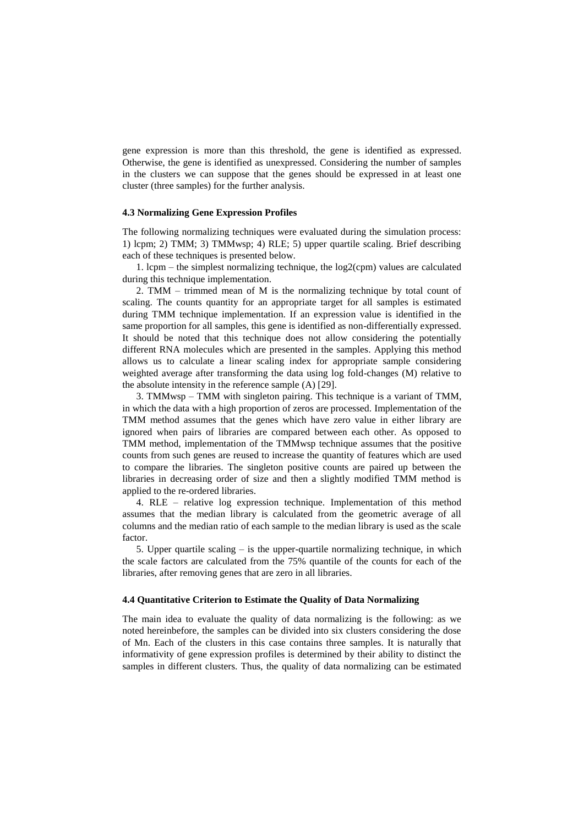gene expression is more than this threshold, the gene is identified as expressed. Otherwise, the gene is identified as unexpressed. Considering the number of samples in the clusters we can suppose that the genes should be expressed in at least one cluster (three samples) for the further analysis.

#### **4.3 Normalizing Gene Expression Profiles**

The following normalizing techniques were evaluated during the simulation process: 1) lcpm; 2) TMM; 3) TMMwsp; 4) RLE; 5) upper quartile scaling. Brief describing each of these techniques is presented below.

1. lcpm – the simplest normalizing technique, the log2(cpm) values are calculated during this technique implementation.

2. TMM – trimmed mean of M is the normalizing technique by total count of scaling. The counts quantity for an appropriate target for all samples is estimated during TMM technique implementation. If an expression value is identified in the same proportion for all samples, this gene is identified as non-differentially expressed. It should be noted that this technique does not allow considering the potentially different RNA molecules which are presented in the samples. Applying this method allows us to calculate a linear scaling index for appropriate sample considering weighted average after transforming the data using log fold-changes (M) relative to the absolute intensity in the reference sample (A) [29].

3. TMMwsp – TMM with singleton pairing. This technique is a variant of TMM, in which the data with a high proportion of zeros are processed. Implementation of the TMM method assumes that the genes which have zero value in either library are ignored when pairs of libraries are compared between each other. As opposed to TMM method, implementation of the TMMwsp technique assumes that the positive counts from such genes are reused to increase the quantity of features which are used to compare the libraries. The singleton positive counts are paired up between the libraries in decreasing order of size and then a slightly modified TMM method is applied to the re-ordered libraries.

4. RLE – relative log expression technique. Implementation of this method assumes that the median library is calculated from the geometric average of all columns and the median ratio of each sample to the median library is used as the scale factor.

5. Upper quartile scaling – is the upper-quartile normalizing technique, in which the scale factors are calculated from the 75% quantile of the counts for each of the libraries, after removing genes that are zero in all libraries.

#### **4.4 Quantitative Criterion to Estimate the Quality of Data Normalizing**

The main idea to evaluate the quality of data normalizing is the following: as we noted hereinbefore, the samples can be divided into six clusters considering the dose of Mn. Each of the clusters in this case contains three samples. It is naturally that informativity of gene expression profiles is determined by their ability to distinct the samples in different clusters. Thus, the quality of data normalizing can be estimated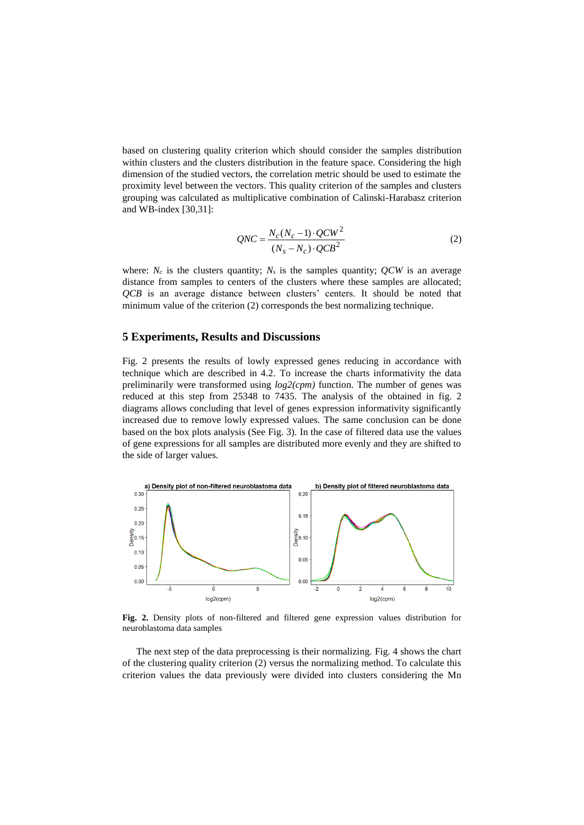based on clustering quality criterion which should consider the samples distribution within clusters and the clusters distribution in the feature space. Considering the high dimension of the studied vectors, the correlation metric should be used to estimate the proximity level between the vectors. This quality criterion of the samples and clusters grouping was calculated as multiplicative combination of Calinski-Harabasz criterion and WB-index [30,31]:

$$
QNC = \frac{N_c(N_c - 1) \cdot QCW^2}{(N_s - N_c) \cdot QCB^2}
$$
 (2)

where:  $N_c$  is the clusters quantity;  $N_s$  is the samples quantity;  $\dot{Q}$ *CW* is an average distance from samples to centers of the clusters where these samples are allocated; *QCB* is an average distance between clusters' centers. It should be noted that minimum value of the criterion (2) corresponds the best normalizing technique.

## **5 Experiments, Results and Discussions**

Fig. 2 presents the results of lowly expressed genes reducing in accordance with technique which are described in 4.2. To increase the charts informativity the data preliminarily were transformed using *log2(cpm)* function. The number of genes was reduced at this step from 25348 to 7435. The analysis of the obtained in fig. 2 diagrams allows concluding that level of genes expression informativity significantly increased due to remove lowly expressed values. The same conclusion can be done based on the box plots analysis (See Fig. 3). In the case of filtered data use the values of gene expressions for all samples are distributed more evenly and they are shifted to the side of larger values.



**Fig. 2.** Density plots of non-filtered and filtered gene expression values distribution for neuroblastoma data samples

The next step of the data preprocessing is their normalizing. Fig. 4 shows the chart of the clustering quality criterion (2) versus the normalizing method. To calculate this criterion values the data previously were divided into clusters considering the Mn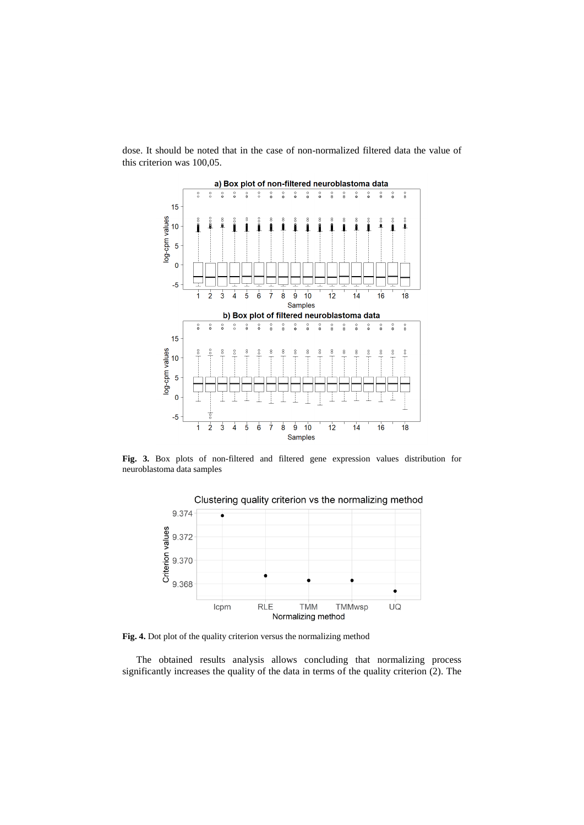

dose. It should be noted that in the case of non-normalized filtered data the value of this criterion was 100,05.

**Fig. 3.** Box plots of non-filtered and filtered gene expression values distribution for neuroblastoma data samples



Fig. 4. Dot plot of the quality criterion versus the normalizing method

The obtained results analysis allows concluding that normalizing process significantly increases the quality of the data in terms of the quality criterion (2). The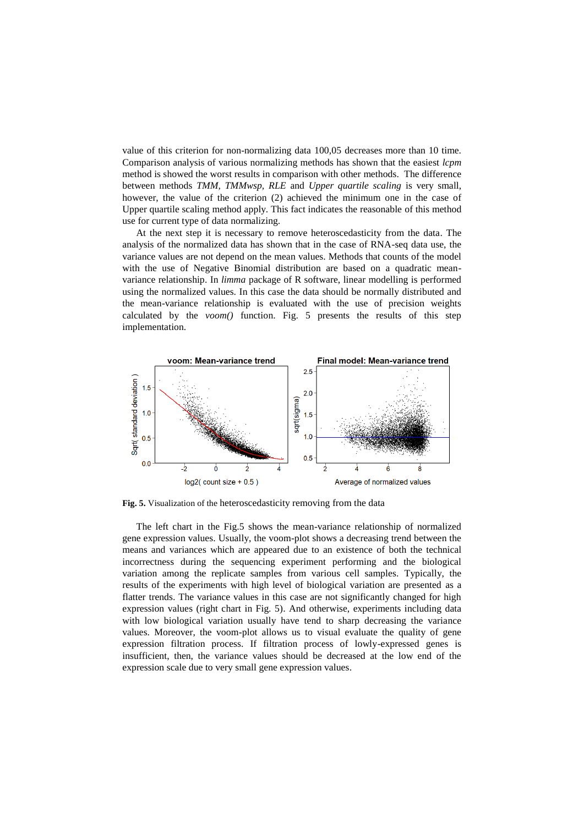value of this criterion for non-normalizing data 100,05 decreases more than 10 time. Comparison analysis of various normalizing methods has shown that the easiest *lcpm* method is showed the worst results in comparison with other methods. The difference between methods *TMM, TMMwsp, RLE* and *Upper quartile scaling* is very small, however, the value of the criterion (2) achieved the minimum one in the case of Upper quartile scaling method apply. This fact indicates the reasonable of this method use for current type of data normalizing.

At the next step it is necessary to remove heteroscedasticity from the data. The analysis of the normalized data has shown that in the case of RNA-seq data use, the variance values are not depend on the mean values. Methods that counts of the model with the use of Negative Binomial distribution are based on a quadratic meanvariance relationship. In *limma* package of R software, linear modelling is performed using the normalized values. In this case the data should be normally distributed and the mean-variance relationship is evaluated with the use of precision weights calculated by the *voom()* function. Fig. 5 presents the results of this step implementation.



**Fig. 5.** Visualization of the heteroscedasticity removing from the data

The left chart in the Fig.5 shows the mean-variance relationship of normalized gene expression values. Usually, the voom-plot shows a decreasing trend between the means and variances which are appeared due to an existence of both the technical incorrectness during the sequencing experiment performing and the biological variation among the replicate samples from various cell samples. Typically, the results of the experiments with high level of biological variation are presented as a flatter trends. The variance values in this case are not significantly changed for high expression values (right chart in Fig. 5). And otherwise, experiments including data with low biological variation usually have tend to sharp decreasing the variance values. Moreover, the voom-plot allows us to visual evaluate the quality of gene expression filtration process. If filtration process of lowly-expressed genes is insufficient, then, the variance values should be decreased at the low end of the expression scale due to very small gene expression values.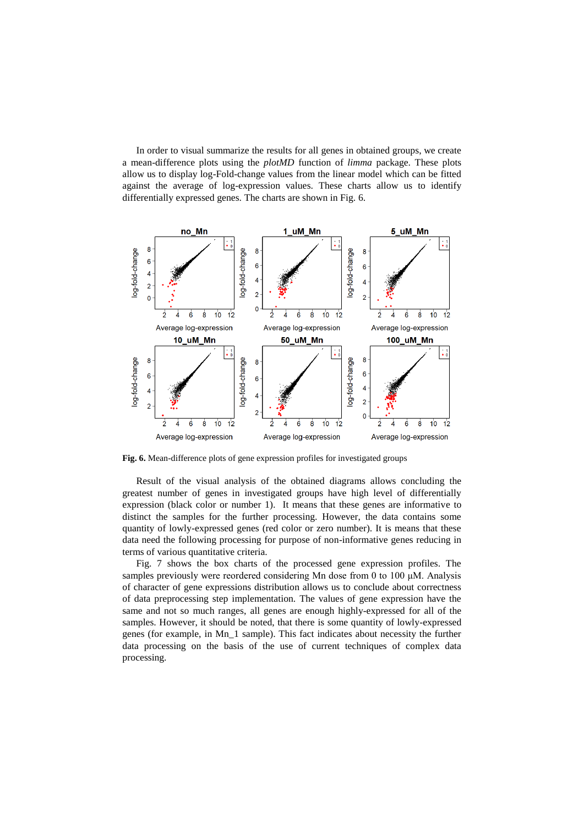In order to visual summarize the results for all genes in obtained groups, we create a mean-difference plots using the *plotMD* function of *limma* package. These plots allow us to display log-Fold-change values from the linear model which can be fitted against the average of log-expression values. These charts allow us to identify differentially expressed genes. The charts are shown in Fig. 6.



**Fig. 6.** Mean-difference plots of gene expression profiles for investigated groups

Result of the visual analysis of the obtained diagrams allows concluding the greatest number of genes in investigated groups have high level of differentially expression (black color or number 1). It means that these genes are informative to distinct the samples for the further processing. However, the data contains some quantity of lowly-expressed genes (red color or zero number). It is means that these data need the following processing for purpose of non-informative genes reducing in terms of various quantitative criteria.

Fig. 7 shows the box charts of the processed gene expression profiles. The samples previously were reordered considering Mn dose from 0 to 100 μM. Analysis of character of gene expressions distribution allows us to conclude about correctness of data preprocessing step implementation. The values of gene expression have the same and not so much ranges, all genes are enough highly-expressed for all of the samples. However, it should be noted, that there is some quantity of lowly-expressed genes (for example, in Mn\_1 sample). This fact indicates about necessity the further data processing on the basis of the use of current techniques of complex data processing.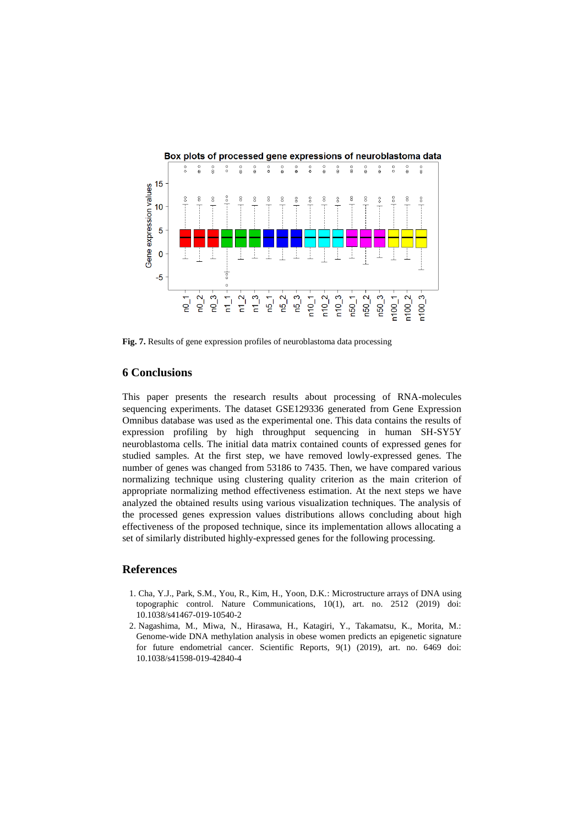

**Fig. 7.** Results of gene expression profiles of neuroblastoma data processing

## **6 Conclusions**

This paper presents the research results about processing of RNA-molecules sequencing experiments. The dataset GSE129336 generated from Gene Expression Omnibus database was used as the experimental one. This data contains the results of expression profiling by high throughput sequencing in human SH-SY5Y neuroblastoma cells. The initial data matrix contained counts of expressed genes for studied samples. At the first step, we have removed lowly-expressed genes. The number of genes was changed from 53186 to 7435. Then, we have compared various normalizing technique using clustering quality criterion as the main criterion of appropriate normalizing method effectiveness estimation. At the next steps we have analyzed the obtained results using various visualization techniques. The analysis of the processed genes expression values distributions allows concluding about high effectiveness of the proposed technique, since its implementation allows allocating a set of similarly distributed highly-expressed genes for the following processing.

#### **References**

- 1. Cha, Y.J., Park, S.M., You, R., Kim, H., Yoon, D.K.: Microstructure arrays of DNA using topographic control. Nature Communications, 10(1), art. no. 2512 (2019) doi: 10.1038/s41467-019-10540-2
- 2. Nagashima, M., Miwa, N., Hirasawa, H., Katagiri, Y., Takamatsu, K., Morita, M.: Genome-wide DNA methylation analysis in obese women predicts an epigenetic signature for future endometrial cancer. Scientific Reports, 9(1) (2019), art. no. 6469 doi: 10.1038/s41598-019-42840-4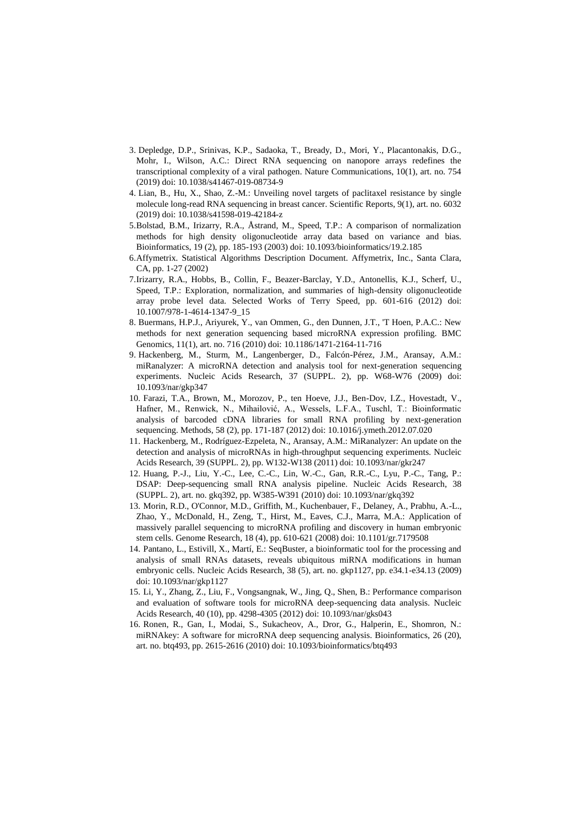- 3. Depledge, D.P., Srinivas, K.P., Sadaoka, T., Bready, D., Mori, Y., Placantonakis, D.G., Mohr, I., Wilson, A.C.: Direct RNA sequencing on nanopore arrays redefines the transcriptional complexity of a viral pathogen. Nature Communications, 10(1), art. no. 754 (2019) doi: 10.1038/s41467-019-08734-9
- 4. Lian, B., Hu, X., Shao, Z.-M.: Unveiling novel targets of paclitaxel resistance by single molecule long-read RNA sequencing in breast cancer. Scientific Reports, 9(1), art. no. 6032 (2019) doi: 10.1038/s41598-019-42184-z
- 5.Bolstad, B.M., Irizarry, R.A., Åstrand, M., Speed, T.P.: A comparison of normalization methods for high density oligonucleotide array data based on variance and bias. Bioinformatics, 19 (2), pp. 185-193 (2003) doi: 10.1093/bioinformatics/19.2.185
- 6.Affymetrix. Statistical Algorithms Description Document. Affymetrix, Inc., Santa Clara, CA, pp. 1-27 (2002)
- 7.Irizarry, R.A., Hobbs, B., Collin, F., Beazer-Barclay, Y.D., Antonellis, K.J., Scherf, U., Speed, T.P.: Exploration, normalization, and summaries of high-density oligonucleotide array probe level data. Selected Works of Terry Speed, pp. 601-616 (2012) doi: 10.1007/978-1-4614-1347-9\_15
- 8. Buermans, H.P.J., Ariyurek, Y., van Ommen, G., den Dunnen, J.T., 'T Hoen, P.A.C.: New methods for next generation sequencing based microRNA expression profiling. BMC Genomics, 11(1), art. no. 716 (2010) doi: 10.1186/1471-2164-11-716
- 9. Hackenberg, M., Sturm, M., Langenberger, D., Falcón-Pérez, J.M., Aransay, A.M.: miRanalyzer: A microRNA detection and analysis tool for next-generation sequencing experiments. Nucleic Acids Research, 37 (SUPPL. 2), pp. W68-W76 (2009) doi: 10.1093/nar/gkp347
- 10. Farazi, T.A., Brown, M., Morozov, P., ten Hoeve, J.J., Ben-Dov, I.Z., Hovestadt, V., Hafner, M., Renwick, N., Mihailović, A., Wessels, L.F.A., Tuschl, T.: Bioinformatic analysis of barcoded cDNA libraries for small RNA profiling by next-generation sequencing. Methods, 58 (2), pp. 171-187 (2012) doi: 10.1016/j.ymeth.2012.07.020
- 11. Hackenberg, M., Rodríguez-Ezpeleta, N., Aransay, A.M.: MiRanalyzer: An update on the detection and analysis of microRNAs in high-throughput sequencing experiments. Nucleic Acids Research, 39 (SUPPL. 2), pp. W132-W138 (2011) doi: 10.1093/nar/gkr247
- 12. Huang, P.-J., Liu, Y.-C., Lee, C.-C., Lin, W.-C., Gan, R.R.-C., Lyu, P.-C., Tang, P.: DSAP: Deep-sequencing small RNA analysis pipeline. Nucleic Acids Research, 38 (SUPPL. 2), art. no. gkq392, pp. W385-W391 (2010) doi: 10.1093/nar/gkq392
- 13. Morin, R.D., O'Connor, M.D., Griffith, M., Kuchenbauer, F., Delaney, A., Prabhu, A.-L., Zhao, Y., McDonald, H., Zeng, T., Hirst, M., Eaves, C.J., Marra, M.A.: Application of massively parallel sequencing to microRNA profiling and discovery in human embryonic stem cells. Genome Research, 18 (4), pp. 610-621 (2008) doi: 10.1101/gr.7179508
- 14. Pantano, L., Estivill, X., Martí, E.: SeqBuster, a bioinformatic tool for the processing and analysis of small RNAs datasets, reveals ubiquitous miRNA modifications in human embryonic cells. Nucleic Acids Research, 38 (5), art. no. gkp1127, pp. e34.1-e34.13 (2009) doi: 10.1093/nar/gkp1127
- 15. Li, Y., Zhang, Z., Liu, F., Vongsangnak, W., Jing, Q., Shen, B.: Performance comparison and evaluation of software tools for microRNA deep-sequencing data analysis. Nucleic Acids Research, 40 (10), pp. 4298-4305 (2012) doi: 10.1093/nar/gks043
- 16. Ronen, R., Gan, I., Modai, S., Sukacheov, A., Dror, G., Halperin, E., Shomron, N.: miRNAkey: A software for microRNA deep sequencing analysis. Bioinformatics, 26 (20), art. no. btq493, pp. 2615-2616 (2010) doi: 10.1093/bioinformatics/btq493